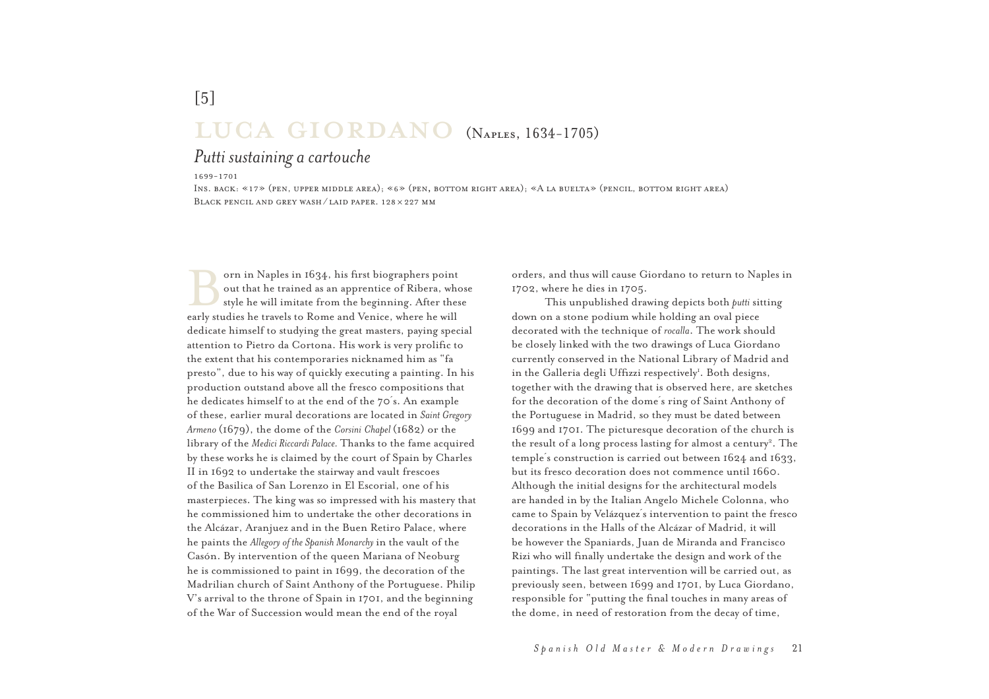## [5] $LUCA$   $GIORDANO$  (Naples, 1634-1705)<br>Putti sustaining a cartouche

## *Putti sustaining a cartouche*

*1699-1701*

 *Ins. back: «17» (pen, upper middle area); «6» (pen***,** *bottom right area); «A la buelta» (pencil, bottom right area)Black pencil and grey wash / laid paper. 128* × *227 mm*

orn in Naples in 1634, his first biographers point<br>out that he trained as an apprentice of Ribera, whose<br>style he will imitate from the beginning. After these early studies he travels to Rome and Venice, where he will dedicate himself to studying the great masters, paying special attention to Pietro da Cortona. His work is very prolific to the extent that his contemporaries nicknamed him as "fa presto", due to his way of quickly executing a painting. In his production outstand above all the fresco compositions that he dedicates himself to at the end of the 70´s. An example of these, earlier mural decorations are located in *Saint Gregory Armeno* (1679), the dome of the *Corsini Chapel* (1682) or the library of the *Medici Riccardi Palace.* Thanks to the fame acquired by these works he is claimed by the court of Spain by Charles II in 1692 to undertake the stairway and vault frescoes of the Basilica of San Lorenzo in El Escorial, one of his masterpieces. The king was so impressed with his mastery that he commissioned him to undertake the other decorations in the Alcázar, Aranjuez and in the Buen Retiro Palace, where he paints the *Allegory of the Spanish Monarchy* in the vault of the Casón. By intervention of the queen Mariana of Neoburg he is commissioned to paint in 1699, the decoration of the Madrilian church of Saint Anthony of the Portuguese. Philip V's arrival to the throne of Spain in 1701, and the beginning of the War of Succession would mean the end of the royal

orders, and thus will cause Giordano to return to Naples in 1702, where he dies in 1705.

This unpublished drawing depicts both *putti* sitting down on a stone podium while holding an oval piece decorated with the technique of *rocalla*. The work should be closely linked with the two drawings of Luca Giordano currently conserved in the National Library of Madrid and in the Galleria degli Uffizzi respectively<sup>1</sup>. Both designs, together with the drawing that is observed here, are sketches for the decoration of the dome´s ring of Saint Anthony of the Portuguese in Madrid, so they must be dated between 1699 and 1701. The picturesque decoration of the church is the result of a long process lasting for almost a century<sup>2</sup>. The temple´s construction is carried out between 1624 and 1633, but its fresco decoration does not commence until 1660. Although the initial designs for the architectural modelsare handed in by the Italian Angelo Michele Colonna, who came to Spain by Velázquez´s intervention to paint the fresco decorations in the Halls of the Alcázar of Madrid, it will be however the Spaniards, Juan de Miranda and Francisco Rizi who will finally undertake the design and work of the paintings. The last great intervention will be carried out, as previously seen, between 1699 and 1701, by Luca Giordano, responsible for "putting the final touches in many areas of the dome, in need of restoration from the decay of time,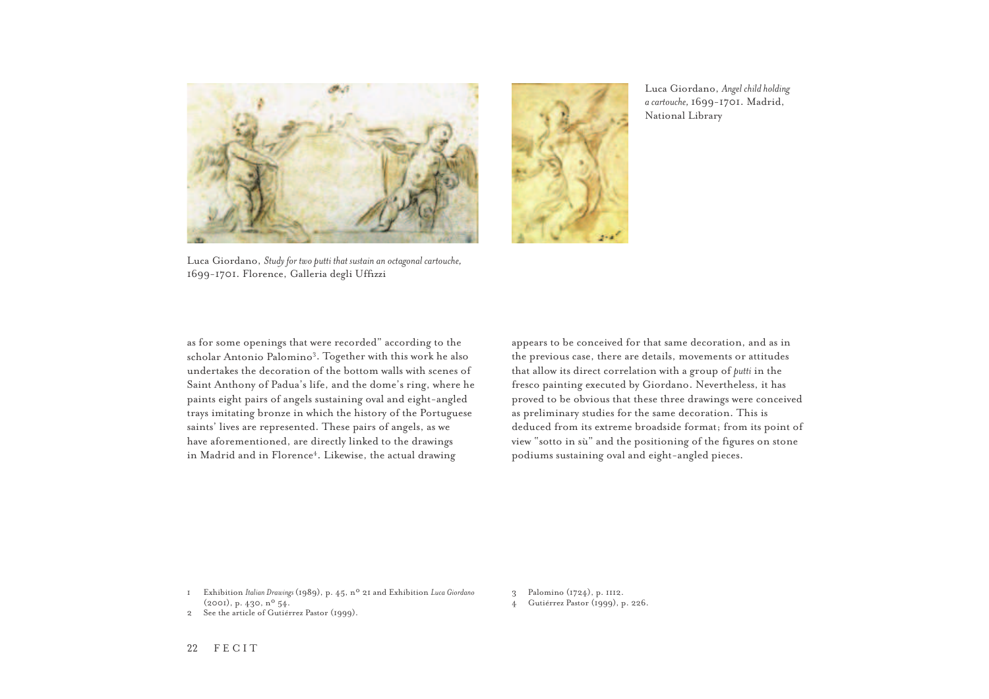

Luca Giordano, *Study for two putti that sustain an octagonal cartouche,*  1699-1701. Florence, Galleria degli Uffizzi

as for some openings that were recorded" according to the scholar Antonio Palomino3. Together with this work he also undertakes the decoration of the bottom walls with scenes of Saint Anthony of Padua's life, and the dome's ring, where he paints eight pairs of angels sustaining oval and eight-angled trays imitating bronze in which the history of the Portuguese saints' lives are represented. These pairs of angels, as we have aforementioned, are directly linked to the drawings in Madrid and in Florence<sup>4</sup>. Likewise, the actual drawing

appears to be conceived for that same decoration, and as in the previous case, there are details, movements or attitudes that allow its direct correlation with a group of *putti* in the fresco painting executed by Giordano. Nevertheless, it has proved to be obvious that these three drawings were conceived as preliminary studies for the same decoration. This is deduced from its extreme broadside format; from its point of view "sotto in sù" and the positioning of the figures on stone podiums sustaining oval and eight-angled pieces.

Luca Giordano, *Angel child holding a cartouche,* 1699-1701. Madrid,

National Library

1 Exhibition *Italian Drawings* (1989), p. 45, nº 21 and Exhibition *Luca Giordano*  (2001), p. 430, nº 54.

- 3 Palomino (1724), p. 1112.
- 4 Gutiérrez Pastor (1999), p. 226.

2 See the article of Gutiérrez Pastor (1999).